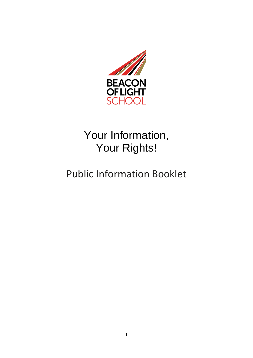

# Your Information, Your Rights!

## Public Information Booklet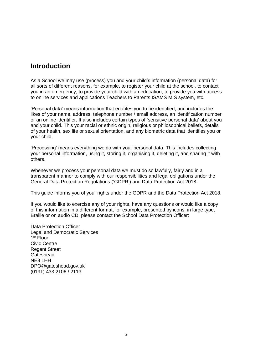#### **Introduction**

As a School we may use (process) you and your child's information (personal data) for all sorts of different reasons, for example, to register your child at the school, to contact you in an emergency, to provide your child with an education, to provide you with access to online services and applications Teachers to Parents,ISAMS MIS system, etc.

'Personal data' means information that enables you to be identified, and includes the likes of your name, address, telephone number / email address, an identification number or an online identifier. It also includes certain types of 'sensitive personal data' about you and your child. This your racial or ethnic origin, religious or philosophical beliefs, details of your health, sex life or sexual orientation, and any biometric data that identifies you or your child.

'Processing' means everything we do with your personal data. This includes collecting your personal information, using it, storing it, organising it, deleting it, and sharing it with others.

Whenever we process your personal data we must do so lawfully, fairly and in a transparent manner to comply with our responsibilities and legal obligations under the General Data Protection Regulations ('GDPR') and Data Protection Act 2018.

This guide informs you of your rights under the GDPR and the Data Protection Act 2018.

If you would like to exercise any of your rights, have any questions or would like a copy of this information in a different format, for example, presented by icons, in large type, Braille or on audio CD, please contact the School Data Protection Officer:

Data Protection Officer Legal and Democratic Services 1 st Floor Civic Centre Regent Street **Gateshead** NE8 1HH DPO@gateshead.gov.uk (0191) 433 2106 / 2113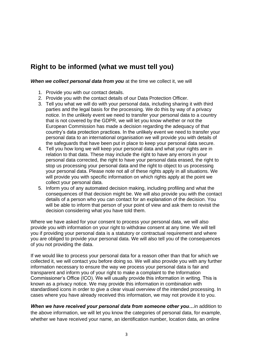## **Right to be informed (what we must tell you)**

*When we collect personal data from you* at the time we collect it, we will

- 1. Provide you with our contact details.
- 2. Provide you with the contact details of our Data Protection Officer.
- 3. Tell you what we will do with your personal data, including sharing it with third parties and the legal basis for the processing. We do this by way of a privacy notice. In the unlikely event we need to transfer your personal data to a country that is not covered by the GDPR, we will let you know whether or not the European Commission has made a decision regarding the adequacy of that country's data protection practices. In the unlikely event we need to transfer your personal data to an international organisation we will provide you with details of the safeguards that have been put in place to keep your personal data secure.
- 4. Tell you how long we will keep your personal data and what your rights are in relation to that data. These may include the right to have any errors in your personal data corrected, the right to have your personal data erased, the right to stop us processing your personal data and the right to object to us processing your personal data. Please note not all of these rights apply in all situations. We will provide you with specific information on which rights apply at the point we collect your personal data.
- 5. Inform you of any automated decision making, including profiling and what the consequences of that decision might be. We will also provide you with the contact details of a person who you can contact for an explanation of the decision. You will be able to inform that person of your point of view and ask them to revisit the decision considering what you have told them.

Where we have asked for your consent to process your personal data, we will also provide you with information on your right to withdraw consent at any time. We will tell you if providing your personal data is a statutory or contractual requirement and where you are obliged to provide your personal data. We will also tell you of the consequences of you not providing the data.

If we would like to process your personal data for a reason other than that for which we collected it, we will contact you before doing so. We will also provide you with any further information necessary to ensure the way we process your personal data is fair and transparent and inform you of your right to make a complaint to the Information Commissioner's Office (ICO). We will usually provide this information in writing. This is known as a privacy notice. We may provide this information in combination with standardised icons in order to give a clear visual overview of the intended processing. In cases where you have already received this information, we may not provide it to you.

*When we have received your personal data from someone other you…*in addition to the above information, we will let you know the categories of personal data, for example, whether we have received your name, an identification number, location data, an online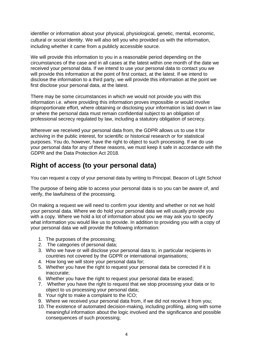identifier or information about your physical, physiological, genetic, mental, economic, cultural or social identity. We will also tell you who provided us with the information, including whether it came from a publicly accessible source.

We will provide this information to you in a reasonable period depending on the circumstances of the case and in all cases at the latest within one month of the date we received your personal data. If we intend to use your personal data to contact you we will provide this information at the point of first contact, at the latest. If we intend to disclose the information to a third party, we will provide this information at the point we first disclose your personal data, at the latest.

There may be some circumstances in which we would not provide you with this information i.e. where providing this information proves impossible or would involve disproportionate effort, where obtaining or disclosing your information is laid down in law or where the personal data must remain confidential subject to an obligation of professional secrecy regulated by law, including a statutory obligation of secrecy.

Wherever we received your personal data from, the GDPR allows us to use it for archiving in the public interest, for scientific or historical research or for statistical purposes. You do, however, have the right to object to such processing. If we do use your personal data for any of these reasons, we must keep it safe in accordance with the GDPR and the Data Protection Act 2018.

## **Right of access (to your personal data)**

You can request a copy of your personal data by writing to Principal, Beacon of Light School

The purpose of being able to access your personal data is so you can be aware of, and verify, the lawfulness of the processing.

On making a request we will need to confirm your identity and whether or not we hold your personal data. Where we do hold your personal data we will usually provide you with a copy. Where we hold a lot of information about you we may ask you to specify what information you would like us to provide. In addition to providing you with a copy of your personal data we will provide the following information:

- 1. The purposes of the processing;
- 2. The categories of personal data;
- 3. Who we have or will disclose your personal data to, in particular recipients in countries not covered by the GDPR or international organisations;
- 4. How long we will store your personal data for;
- 5. Whether you have the right to request your personal data be corrected if it is inaccurate;
- 6. Whether you have the right to request your personal data be erased;
- 7. Whether you have the right to request that we stop processing your data or to object to us processing your personal data;
- 8. Your right to make a complaint to the ICO;
- 9. Where we received your personal data from, if we did not receive it from you;
- 10. The existence of automated decision-making, including profiling, along with some meaningful information about the logic involved and the significance and possible consequences of such processing;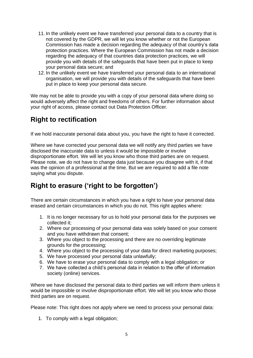- 11. In the unlikely event we have transferred your personal data to a country that is not covered by the GDPR, we will let you know whether or not the European Commission has made a decision regarding the adequacy of that country's data protection practices. Where the European Commission has not made a decision regarding the adequacy of that countries data protection practices, we will provide you with details of the safeguards that have been put in place to keep your personal data secure; and
- 12. In the unlikely event we have transferred your personal data to an international organisation, we will provide you with details of the safeguards that have been put in place to keep your personal data secure.

We may not be able to provide you with a copy of your personal data where doing so would adversely affect the right and freedoms of others. For further information about your right of access, please contact out Data Protection Officer.

### **Right to rectification**

If we hold inaccurate personal data about you, you have the right to have it corrected.

Where we have corrected your personal data we will notify any third parties we have disclosed the inaccurate data to unless it would be impossible or involve disproportionate effort. We will let you know who those third parties are on request. Please note, we do not have to change data just because you disagree with it, if that was the opinion of a professional at the time. But we are required to add a file note saying what you dispute.

## **Right to erasure ('right to be forgotten')**

There are certain circumstances in which you have a right to have your personal data erased and certain circumstances in which you do not. This right applies where:

- 1. It is no longer necessary for us to hold your personal data for the purposes we collected it;
- 2. Where our processing of your personal data was solely based on your consent and you have withdrawn that consent;
- 3. Where you object to the processing and there are no overriding legitimate grounds for the processing;
- 4. Where you object to the processing of your data for direct marketing purposes;
- 5. We have processed your personal data unlawfully;
- 6. We have to erase your personal data to comply with a legal obligation; or
- 7. We have collected a child's personal data in relation to the offer of information society (online) services.

Where we have disclosed the personal data to third parties we will inform them unless it would be impossible or involve disproportionate effort. We will let you know who those third parties are on request.

Please note: This right does not apply where we need to process your personal data:

1. To comply with a legal obligation;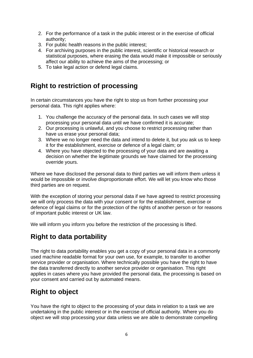- 2. For the performance of a task in the public interest or in the exercise of official authority;
- 3. For public health reasons in the public interest;
- 4. For archiving purposes in the public interest, scientific or historical research or statistical purposes, where erasing the data would make it impossible or seriously affect our ability to achieve the aims of the processing; or
- 5. To take legal action or defend legal claims.

## **Right to restriction of processing**

In certain circumstances you have the right to stop us from further processing your personal data. This right applies where:

- 1. You challenge the accuracy of the personal data. In such cases we will stop processing your personal data until we have confirmed it is accurate;
- 2. Our processing is unlawful, and you choose to restrict processing rather than have us erase your personal data;
- 3. Where we no longer need the data and intend to delete it, but you ask us to keep it for the establishment, exercise or defence of a legal claim; or
- 4. Where you have objected to the processing of your data and are awaiting a decision on whether the legitimate grounds we have claimed for the processing override yours.

Where we have disclosed the personal data to third parties we will inform them unless it would be impossible or involve disproportionate effort. We will let you know who those third parties are on request.

With the exception of storing your personal data if we have agreed to restrict processing we will only process the data with your consent or for the establishment, exercise or defence of legal claims or for the protection of the rights of another person or for reasons of important public interest or UK law.

We will inform you inform you before the restriction of the processing is lifted.

## **Right to data portability**

The right to data portability enables you get a copy of your personal data in a commonly used machine readable format for your own use, for example, to transfer to another service provider or organisation. Where technically possible you have the right to have the data transferred directly to another service provider or organisation. This right applies in cases where you have provided the personal data, the processing is based on your consent and carried out by automated means.

### **Right to object**

You have the right to object to the processing of your data in relation to a task we are undertaking in the public interest or in the exercise of official authority. Where you do object we will stop processing your data unless we are able to demonstrate compelling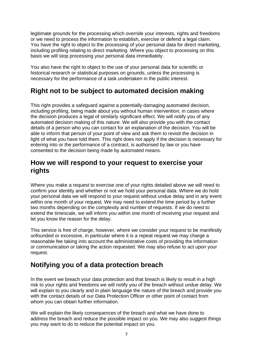legitimate grounds for the processing which override your interests, rights and freedoms or we need to process the information to establish, exercise or defend a legal claim. You have the right to object to the processing of your personal data for direct marketing, including profiling relating to direct marketing. Where you object to processing on this basis we will stop processing your personal data immediately.

You also have the right to object to the use of your personal data for scientific or historical research or statistical purposes on grounds, unless the processing is necessary for the performance of a task undertaken in the public interest.

### **Right not to be subject to automated decision making**

This right provides a safeguard against a potentially damaging automated decision, including profiling, being made about you without human intervention; in cases where the decision produces a legal of similarly significant effect. We will notify you of any automated decision making of this nature. We will also provide you with the contact details of a person who you can contact for an explanation of the decision. You will be able to inform that person of your point of view and ask them to revisit the decision in light of what you have told them. This right does not apply if the decision is necessary for entering into or the performance of a contract, is authorised by law or you have consented to the decision being made by automated means.

#### **How we will respond to your request to exercise your rights**

Where you make a request to exercise one of your rights detailed above we will need to confirm your identity and whether or not we hold your personal data. Where we do hold your personal data we will respond to your request without undue delay and in any event within one month of your request. We may need to extend the time period by a further two months depending on the complexity and number of requests. If we do need to extend the timescale, we will inform you within one month of receiving your request and let you know the reason for the delay.

This service is free of charge, however, where we consider your request to be manifestly unfounded or excessive, in particular where it is a repeat request we may charge a reasonable fee taking into account the administrative costs of providing the information or communication or taking the action requested. We may also refuse to act upon your request.

### **Notifying you of a data protection breach**

In the event we breach your data protection and that breach is likely to result in a high risk to your rights and freedoms we will notify you of the breach without undue delay. We will explain to you clearly and in plain language the nature of the breach and provide you with the contact details of our Data Protection Officer or other point of contact from whom you can obtain further information.

We will explain the likely consequences of the breach and what we have done to address the breach and reduce the possible impact on you. We may also suggest things you may want to do to reduce the potential impact on you.